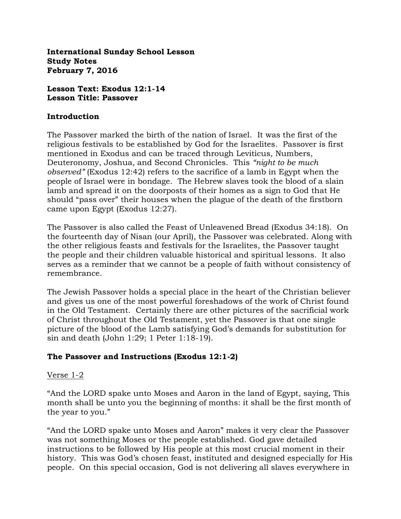**International Sunday School Lesson Study Notes February 7, 2016**

**Lesson Text: Exodus 12:1-14 Lesson Title: Passover**

#### **Introduction**

The Passover marked the birth of the nation of Israel. It was the first of the religious festivals to be established by God for the Israelites. Passover is first mentioned in Exodus and can be traced through Leviticus, Numbers, Deuteronomy, Joshua, and Second Chronicles. This *"night to be much observed"* (Exodus 12:42) refers to the sacrifice of a lamb in Egypt when the people of Israel were in bondage. The Hebrew slaves took the blood of a slain lamb and spread it on the doorposts of their homes as a sign to God that He should "pass over" their houses when the plague of the death of the firstborn came upon Egypt (Exodus 12:27).

The Passover is also called the Feast of Unleavened Bread (Exodus 34:18). On the fourteenth day of Nisan (our April), the Passover was celebrated. Along with the other religious feasts and festivals for the Israelites, the Passover taught the people and their children valuable historical and spiritual lessons. It also serves as a reminder that we cannot be a people of faith without consistency of remembrance.

The Jewish Passover holds a special place in the heart of the Christian believer and gives us one of the most powerful foreshadows of the work of Christ found in the Old Testament. Certainly there are other pictures of the sacrificial work of Christ throughout the Old Testament, yet the Passover is that one single picture of the blood of the Lamb satisfying God's demands for substitution for sin and death (John 1:29; 1 Peter 1:18-19).

### **The Passover and Instructions (Exodus 12:1-2)**

### Verse 1-2

"And the LORD spake unto Moses and Aaron in the land of Egypt, saying, This month shall be unto you the beginning of months: it shall be the first month of the year to you."

"And the LORD spake unto Moses and Aaron" makes it very clear the Passover was not something Moses or the people established. God gave detailed instructions to be followed by His people at this most crucial moment in their history. This was God's chosen feast, instituted and designed especially for His people. On this special occasion, God is not delivering all slaves everywhere in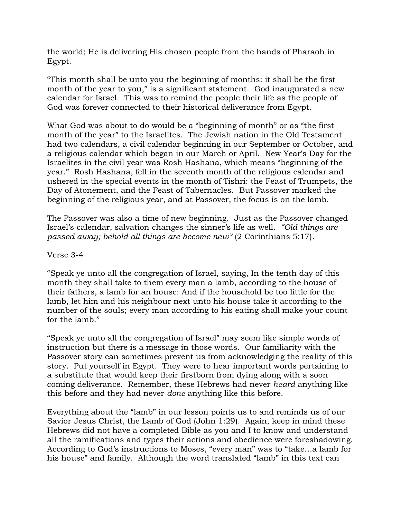the world; He is delivering His chosen people from the hands of Pharaoh in Egypt.

"This month shall be unto you the beginning of months: it shall be the first month of the year to you," is a significant statement. God inaugurated a new calendar for Israel. This was to remind the people their life as the people of God was forever connected to their historical deliverance from Egypt.

What God was about to do would be a "beginning of month" or as "the first month of the year" to the Israelites. The Jewish nation in the Old Testament had two calendars, a civil calendar beginning in our September or October, and a religious calendar which began in our March or April. New Year's Day for the Israelites in the civil year was Rosh Hashana, which means "beginning of the year." Rosh Hashana, fell in the seventh month of the religious calendar and ushered in the special events in the month of Tishri: the Feast of Trumpets, the Day of Atonement, and the Feast of Tabernacles. But Passover marked the beginning of the religious year, and at Passover, the focus is on the lamb.

The Passover was also a time of new beginning. Just as the Passover changed Israel's calendar, salvation changes the sinner's life as well. *"Old things are passed away; behold all things are become new"* (2 Corinthians 5:17).

### Verse 3-4

"Speak ye unto all the congregation of Israel, saying, In the tenth day of this month they shall take to them every man a lamb, according to the house of their fathers, a lamb for an house: And if the household be too little for the lamb, let him and his neighbour next unto his house take it according to the number of the souls; every man according to his eating shall make your count for the lamb."

"Speak ye unto all the congregation of Israel" may seem like simple words of instruction but there is a message in those words. Our familiarity with the Passover story can sometimes prevent us from acknowledging the reality of this story. Put yourself in Egypt. They were to hear important words pertaining to a substitute that would keep their firstborn from dying along with a soon coming deliverance. Remember, these Hebrews had never *heard* anything like this before and they had never *done* anything like this before.

Everything about the "lamb" in our lesson points us to and reminds us of our Savior Jesus Christ, the Lamb of God (John 1:29). Again, keep in mind these Hebrews did not have a completed Bible as you and I to know and understand all the ramifications and types their actions and obedience were foreshadowing. According to God's instructions to Moses, "every man" was to "take…a lamb for his house" and family. Although the word translated "lamb" in this text can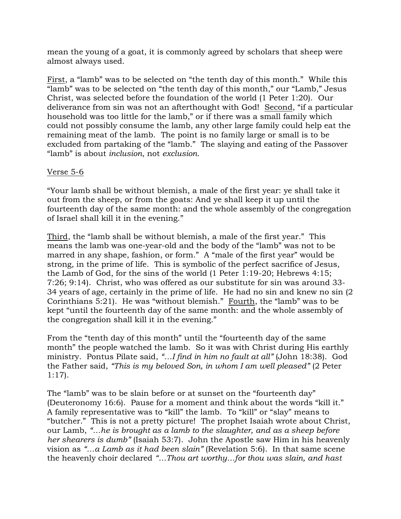mean the young of a goat, it is commonly agreed by scholars that sheep were almost always used.

First, a "lamb" was to be selected on "the tenth day of this month." While this "lamb" was to be selected on "the tenth day of this month," our "Lamb," Jesus Christ, was selected before the foundation of the world (1 Peter 1:20). Our deliverance from sin was not an afterthought with God! Second, "if a particular household was too little for the lamb," or if there was a small family which could not possibly consume the lamb, any other large family could help eat the remaining meat of the lamb. The point is no family large or small is to be excluded from partaking of the "lamb." The slaying and eating of the Passover "lamb" is about *inclusion*, not *exclusion*.

## Verse 5-6

"Your lamb shall be without blemish, a male of the first year: ye shall take it out from the sheep, or from the goats: And ye shall keep it up until the fourteenth day of the same month: and the whole assembly of the congregation of Israel shall kill it in the evening."

Third, the "lamb shall be without blemish, a male of the first year." This means the lamb was one-year-old and the body of the "lamb" was not to be marred in any shape, fashion, or form." A "male of the first year" would be strong, in the prime of life. This is symbolic of the perfect sacrifice of Jesus, the Lamb of God, for the sins of the world (1 Peter 1:19-20; Hebrews 4:15; 7:26; 9:14). Christ, who was offered as our substitute for sin was around 33- 34 years of age, certainly in the prime of life. He had no sin and knew no sin (2 Corinthians 5:21). He was "without blemish." Fourth, the "lamb" was to be kept "until the fourteenth day of the same month: and the whole assembly of the congregation shall kill it in the evening."

From the "tenth day of this month" until the "fourteenth day of the same month" the people watched the lamb. So it was with Christ during His earthly ministry. Pontus Pilate said, *"…I find in him no fault at all"* (John 18:38). God the Father said, *"This is my beloved Son, in whom I am well pleased"* (2 Peter 1:17).

The "lamb" was to be slain before or at sunset on the "fourteenth day" (Deuteronomy 16:6). Pause for a moment and think about the words "kill it." A family representative was to "kill" the lamb. To "kill" or "slay" means to "butcher." This is not a pretty picture! The prophet Isaiah wrote about Christ, our Lamb, *"…he is brought as a lamb to the slaughter, and as a sheep before her shearers is dumb"* (Isaiah 53:7). John the Apostle saw Him in his heavenly vision as *"…a Lamb as it had been slain"* (Revelation 5:6). In that same scene the heavenly choir declared *"…Thou art worthy…for thou was slain, and hast*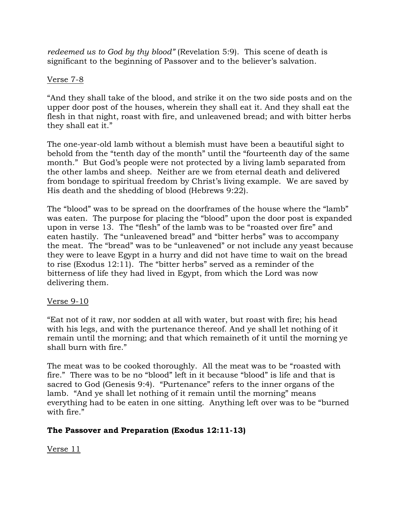*redeemed us to God by thy blood"* (Revelation 5:9). This scene of death is significant to the beginning of Passover and to the believer's salvation.

### Verse 7-8

"And they shall take of the blood, and strike it on the two side posts and on the upper door post of the houses, wherein they shall eat it. And they shall eat the flesh in that night, roast with fire, and unleavened bread; and with bitter herbs they shall eat it."

The one-year-old lamb without a blemish must have been a beautiful sight to behold from the "tenth day of the month" until the "fourteenth day of the same month." But God's people were not protected by a living lamb separated from the other lambs and sheep. Neither are we from eternal death and delivered from bondage to spiritual freedom by Christ's living example. We are saved by His death and the shedding of blood (Hebrews 9:22).

The "blood" was to be spread on the doorframes of the house where the "lamb" was eaten. The purpose for placing the "blood" upon the door post is expanded upon in verse 13. The "flesh" of the lamb was to be "roasted over fire" and eaten hastily. The "unleavened bread" and "bitter herbs" was to accompany the meat. The "bread" was to be "unleavened" or not include any yeast because they were to leave Egypt in a hurry and did not have time to wait on the bread to rise (Exodus 12:11). The "bitter herbs" served as a reminder of the bitterness of life they had lived in Egypt, from which the Lord was now delivering them.

### Verse 9-10

"Eat not of it raw, nor sodden at all with water, but roast with fire; his head with his legs, and with the purtenance thereof. And ye shall let nothing of it remain until the morning; and that which remaineth of it until the morning ye shall burn with fire."

The meat was to be cooked thoroughly. All the meat was to be "roasted with fire." There was to be no "blood" left in it because "blood" is life and that is sacred to God (Genesis 9:4). "Purtenance" refers to the inner organs of the lamb. "And ye shall let nothing of it remain until the morning" means everything had to be eaten in one sitting. Anything left over was to be "burned with fire."

## **The Passover and Preparation (Exodus 12:11-13)**

Verse 11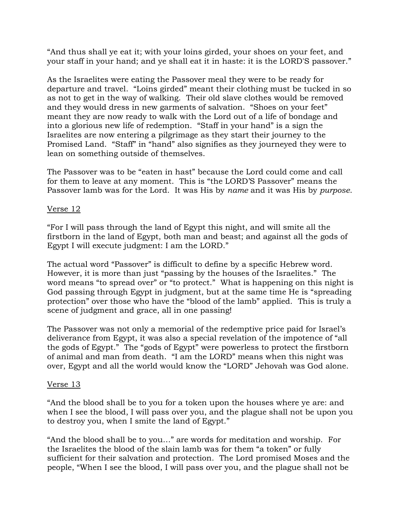"And thus shall ye eat it; with your loins girded, your shoes on your feet, and your staff in your hand; and ye shall eat it in haste: it is the LORD'S passover."

As the Israelites were eating the Passover meal they were to be ready for departure and travel. "Loins girded" meant their clothing must be tucked in so as not to get in the way of walking. Their old slave clothes would be removed and they would dress in new garments of salvation. "Shoes on your feet" meant they are now ready to walk with the Lord out of a life of bondage and into a glorious new life of redemption. "Staff in your hand" is a sign the Israelites are now entering a pilgrimage as they start their journey to the Promised Land. "Staff" in "hand" also signifies as they journeyed they were to lean on something outside of themselves.

The Passover was to be "eaten in hast" because the Lord could come and call for them to leave at any moment. This is "the LORD'S Passover" means the Passover lamb was for the Lord. It was His by *name* and it was His by *purpose*.

### Verse 12

"For I will pass through the land of Egypt this night, and will smite all the firstborn in the land of Egypt, both man and beast; and against all the gods of Egypt I will execute judgment: I am the LORD."

The actual word "Passover" is difficult to define by a specific Hebrew word. However, it is more than just "passing by the houses of the Israelites." The word means "to spread over" or "to protect." What is happening on this night is God passing through Egypt in judgment, but at the same time He is "spreading protection" over those who have the "blood of the lamb" applied. This is truly a scene of judgment and grace, all in one passing!

The Passover was not only a memorial of the redemptive price paid for Israel's deliverance from Egypt, it was also a special revelation of the impotence of "all the gods of Egypt." The "gods of Egypt" were powerless to protect the firstborn of animal and man from death. "I am the LORD" means when this night was over, Egypt and all the world would know the "LORD" Jehovah was God alone.

### Verse 13

"And the blood shall be to you for a token upon the houses where ye are: and when I see the blood, I will pass over you, and the plague shall not be upon you to destroy you, when I smite the land of Egypt."

"And the blood shall be to you…" are words for meditation and worship. For the Israelites the blood of the slain lamb was for them "a token" or fully sufficient for their salvation and protection. The Lord promised Moses and the people, "When I see the blood, I will pass over you, and the plague shall not be